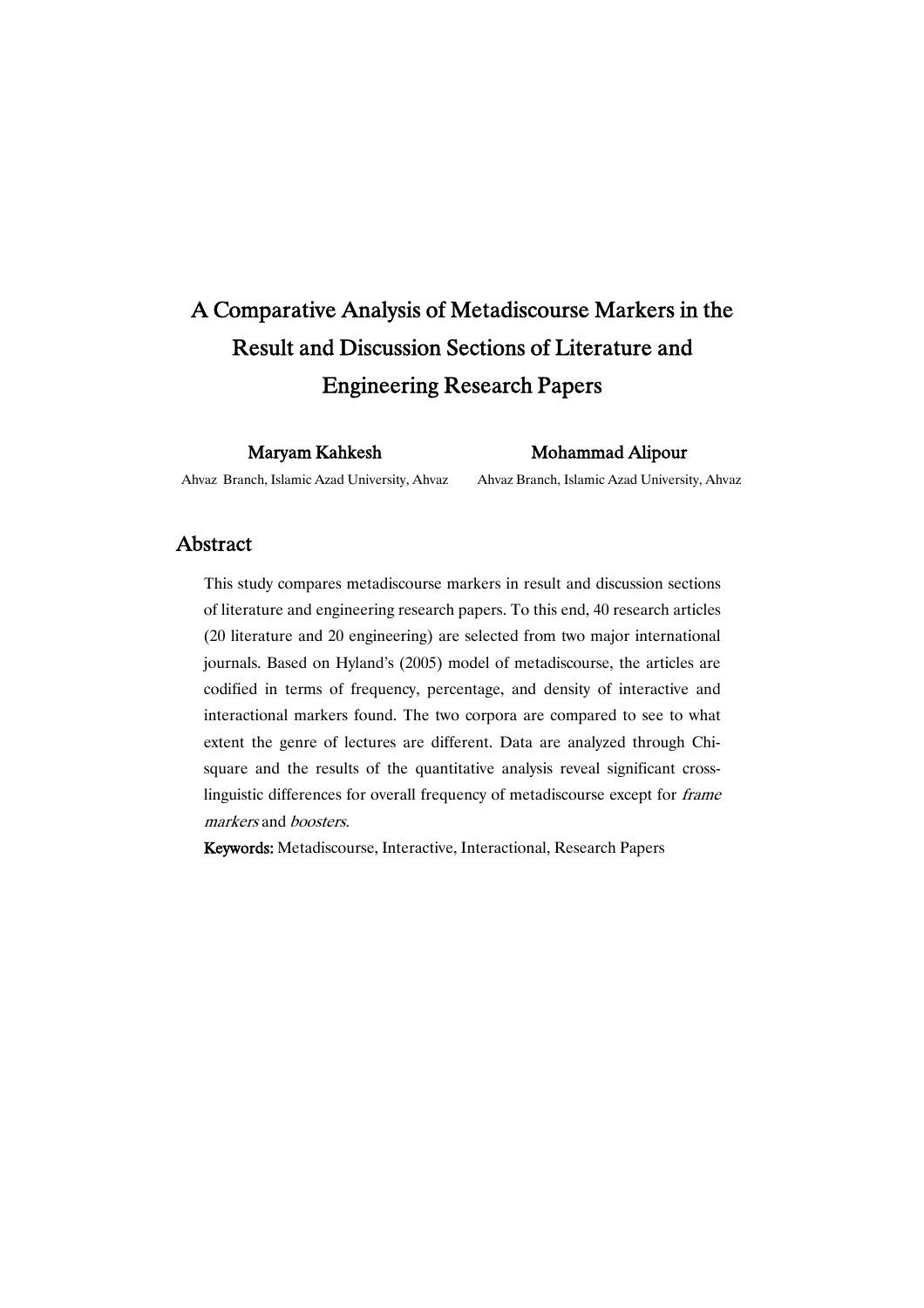# A Comparative Analysis of Metadiscourse Markers in the Result and Discussion Sections of Literature and **Engineering Research Papers**

MaryamKahkesh

MohammadAlipour

Ahvaz Branch, Islamic Azad University, Ahvaz

Ahvaz Branch, Islamic Azad University, Ahvaz

## Abstract

This study compares metadiscourse markers in result and discussion sections of literature and engineering research papers. To this end, 40 research articles (20 literature and 20 engineering) are selected from two major international journals. Based on Hyland's (2005) model of metadiscourse, the articles are codified in terms of frequency, percentage, and density of interactive and interactional markers found. The two corpora are compared to see to what extent the genre of lectures are different. Data are analyzed through Chisquare and the results of the quantitative analysis reveal significant crosslinguistic differences for overall frequency of metadiscourse except for frame markers and boosters.

Keywords: Metadiscourse, Interactive, Interactional, Research Papers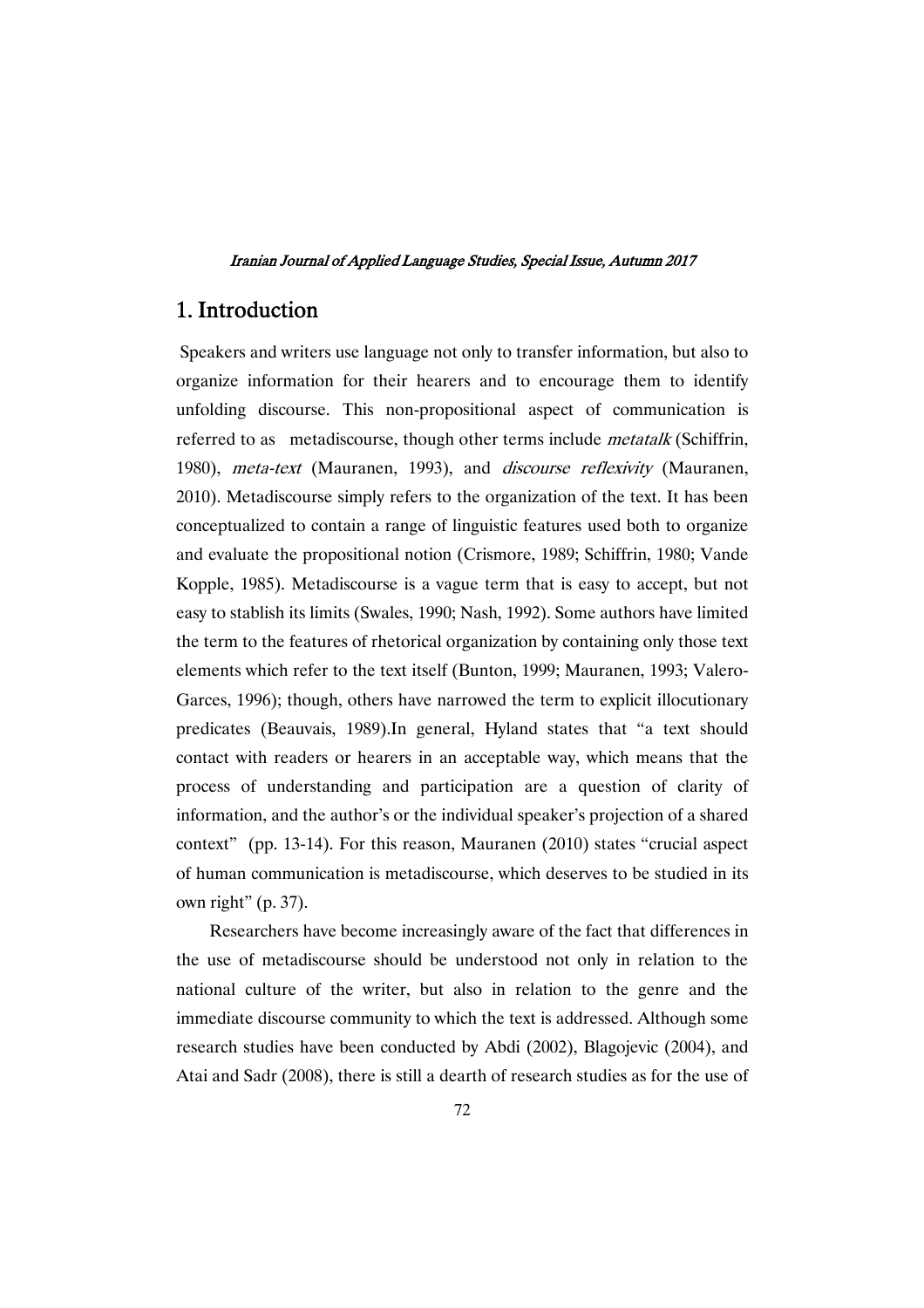## 1.Introduction

Speakers and writers use language not only to transfer information, but also to organize information for their hearers and to encourage them to identify unfolding discourse. This non-propositional aspect of communication is referred to as metadiscourse, though other terms include *metatalk* (Schiffrin, 1980), *meta-text* (Mauranen, 1993), and *discourse reflexivity* (Mauranen, 2010). Metadiscourse simply refers to the organization of the text. It has been conceptualized to contain a range of linguistic features used both to organize and evaluate the propositional notion (Crismore, 1989; Schiffrin, 1980; Vande Kopple, 1985). Metadiscourse is a vague term that is easy to accept, but not easy to stablish its limits (Swales, 1990; Nash, 1992). Some authors have limited the term to the features of rhetorical organization by containing only those text elements which refer to the text itself (Bunton, 1999; Mauranen, 1993; Valero-Garces, 1996); though, others have narrowed the term to explicit illocutionary predicates (Beauvais, 1989).In general, Hyland states that "a text should contact with readers or hearers in an acceptable way, which means that the process of understanding and participation are a question of clarity of information, and the author's or the individual speaker's projection of a shared context" (pp. 13-14). For this reason, Mauranen (2010) states "crucial aspect of human communication is metadiscourse, which deserves to be studied in its own right" (p. 37).

Researchers have become increasingly aware of the fact that differences in the use of metadiscourse should be understood not only in relation to the national culture of the writer, but also in relation to the genre and the immediate discourse community to which the text is addressed. Although some research studies have been conducted by Abdi (2002), Blagojevic (2004), and Atai and Sadr (2008), there is still a dearth of research studies as for the use of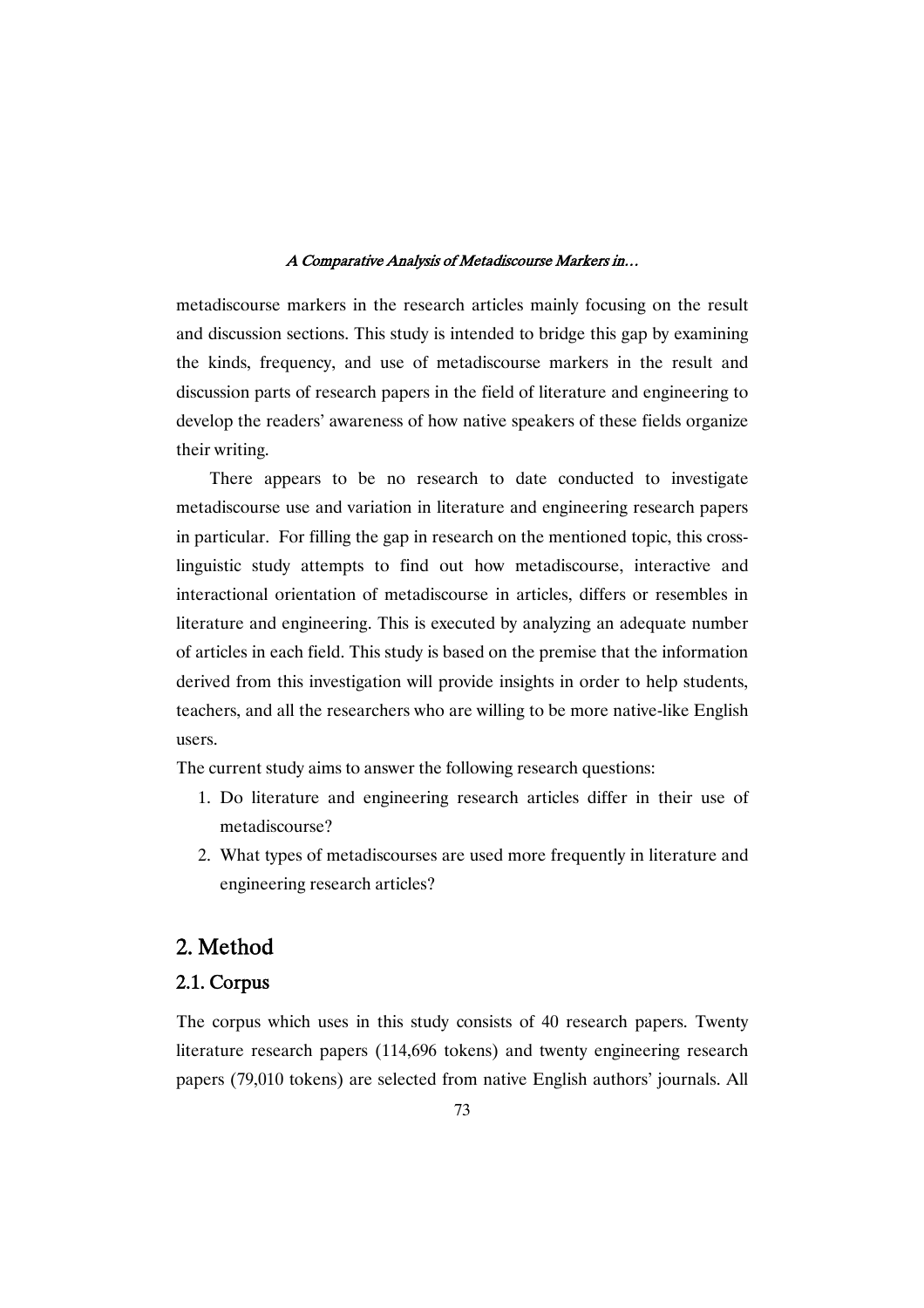metadiscourse markers in the research articles mainly focusing on the result and discussion sections. This study is intended to bridge this gap by examining the kinds, frequency, and use of metadiscourse markers in the result and discussion parts of research papers in the field of literature and engineering to develop the readers' awareness of how native speakers of these fields organize their writing.

There appears to be no research to date conducted to investigate metadiscourse use and variation in literature and engineering research papers in particular. For filling the gap in research on the mentioned topic, this crosslinguistic study attempts to find out how metadiscourse, interactive and interactional orientation of metadiscourse in articles, differs or resembles in literature and engineering. This is executed by analyzing an adequate number of articles in each field. This study is based on the premise that the information derived from this investigation will provide insights in order to help students, teachers, and all the researchers who are willing to be more native-like English users.

The current study aims to answer the following research questions:

- 1. Do literature and engineering research articles differ in their use of metadiscourse?
- 2. What types of metadiscourses are used more frequently in literature and engineering research articles?

## 2.Method

## 2.1.Corpus

The corpus which uses in this study consists of 40 research papers. Twenty literature research papers (114,696 tokens) and twenty engineering research papers (79,010 tokens) are selected from native English authors' journals. All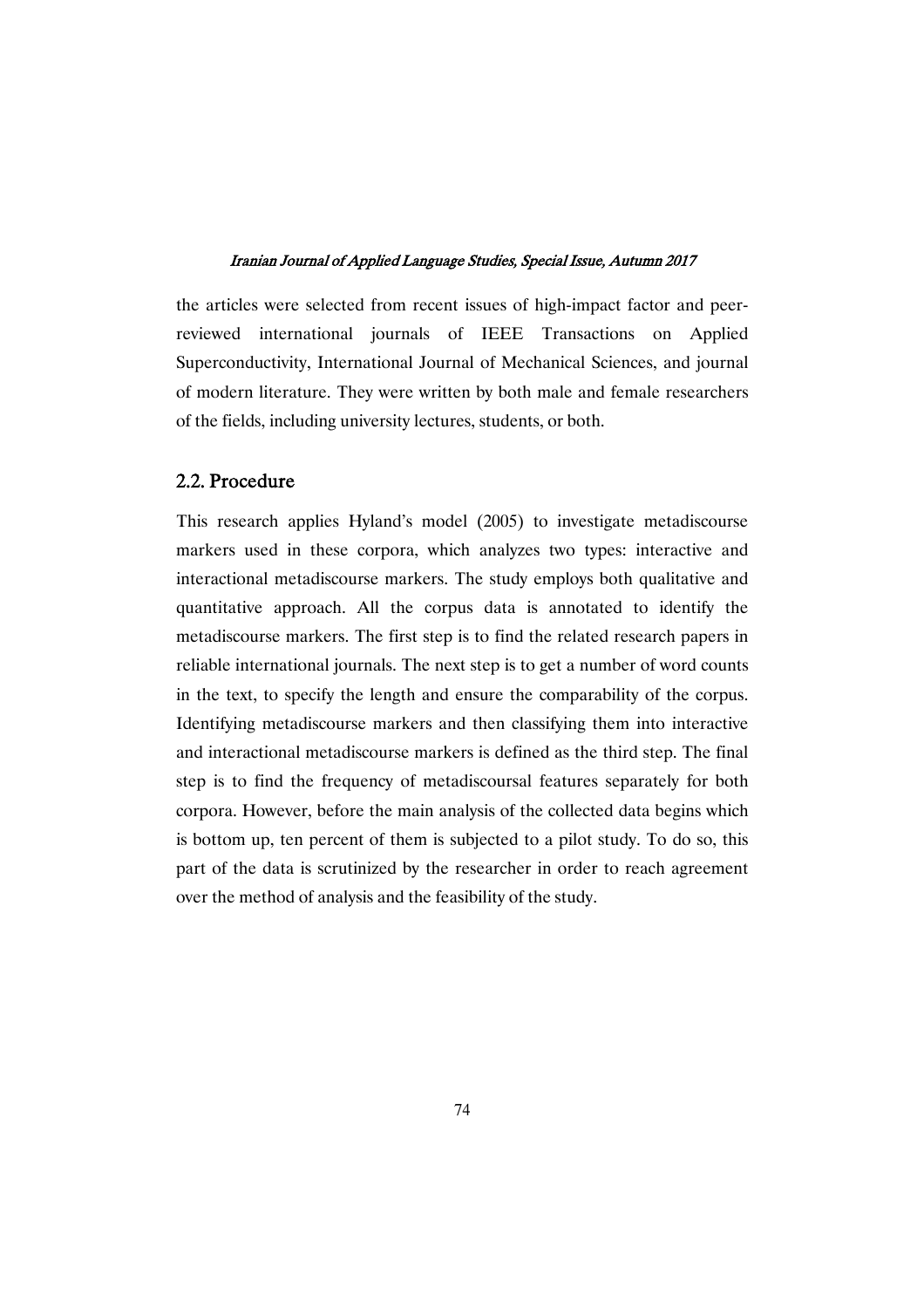the articles were selected from recent issues of high-impact factor and peerreviewed international journals of IEEE Transactions on Applied Superconductivity, International Journal of Mechanical Sciences, and journal of modern literature. They were written by both male and female researchers of the fields, including university lectures, students, or both.

### 2.2.Procedure

This research applies Hyland's model (2005) to investigate metadiscourse markers used in these corpora, which analyzes two types: interactive and interactional metadiscourse markers. The study employs both qualitative and quantitative approach. All the corpus data is annotated to identify the metadiscourse markers. The first step is to find the related research papers in reliable international journals. The next step is to get a number of word counts in the text, to specify the length and ensure the comparability of the corpus. Identifying metadiscourse markers and then classifying them into interactive and interactional metadiscourse markers is defined as the third step. The final step is to find the frequency of metadiscoursal features separately for both corpora. However, before the main analysis of the collected data begins which is bottom up, ten percent of them is subjected to a pilot study. To do so, this part of the data is scrutinized by the researcher in order to reach agreement over the method of analysis and the feasibility of the study.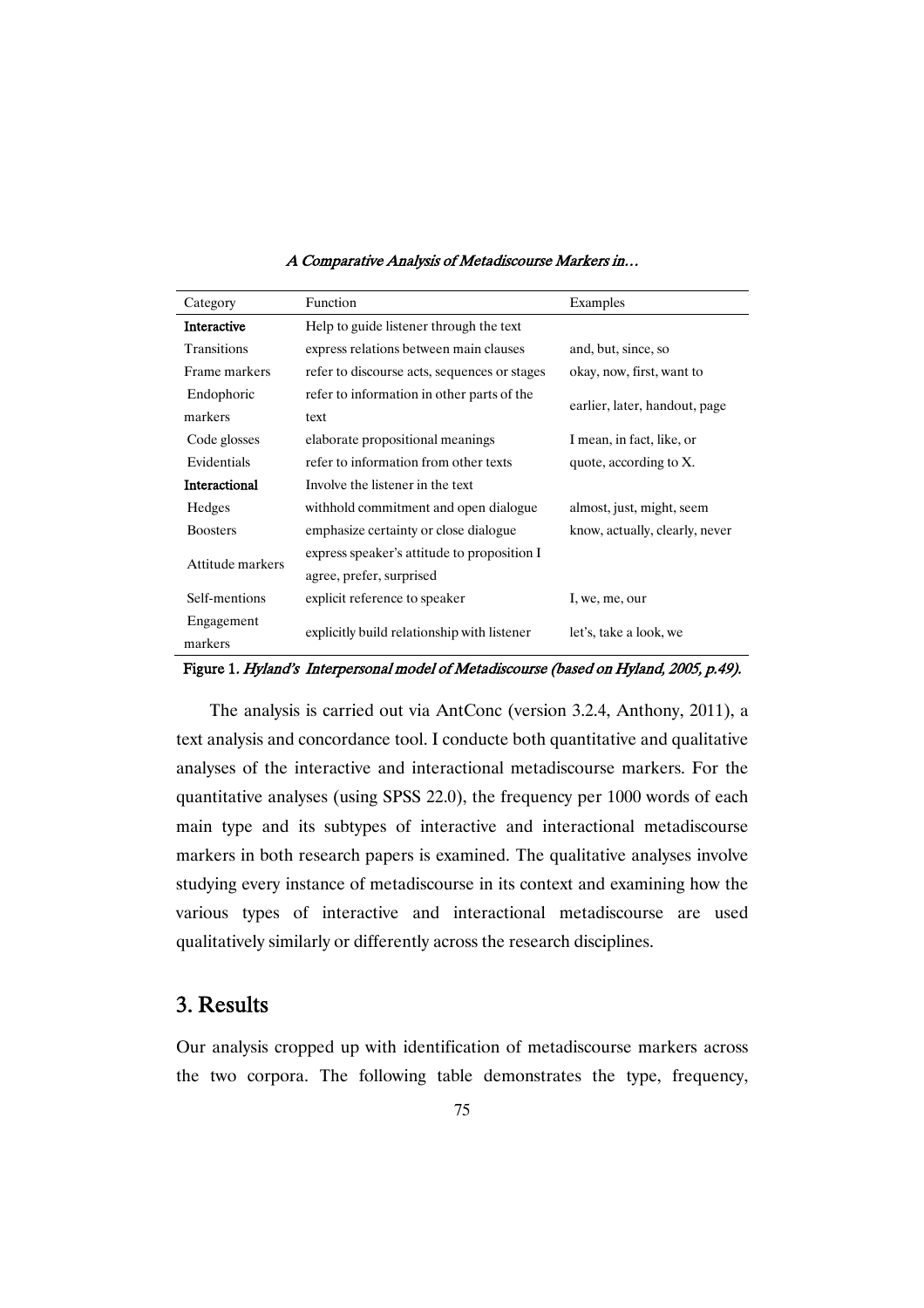| Category                                                 | <b>Function</b>                              | Examples                       |  |  |
|----------------------------------------------------------|----------------------------------------------|--------------------------------|--|--|
| <b>Interactive</b>                                       | Help to guide listener through the text      |                                |  |  |
| Transitions                                              | express relations between main clauses       | and, but, since, so            |  |  |
| Frame markers                                            | refer to discourse acts, sequences or stages | okay, now, first, want to      |  |  |
| Endophoric<br>refer to information in other parts of the |                                              |                                |  |  |
| markers                                                  | text                                         | earlier, later, handout, page  |  |  |
| Code glosses                                             | elaborate propositional meanings             | I mean, in fact, like, or      |  |  |
| Evidentials                                              | refer to information from other texts        | quote, according to X.         |  |  |
| Interactional<br>Involve the listener in the text        |                                              |                                |  |  |
| Hedges                                                   | withhold commitment and open dialogue        | almost, just, might, seem      |  |  |
| <b>Boosters</b>                                          | emphasize certainty or close dialogue        | know, actually, clearly, never |  |  |
| Attitude markers                                         | express speaker's attitude to proposition I  |                                |  |  |
|                                                          | agree, prefer, surprised                     |                                |  |  |
| Self-mentions                                            | explicit reference to speaker                | I, we, me, our                 |  |  |
| Engagement                                               |                                              | let's, take a look, we         |  |  |
| markers                                                  | explicitly build relationship with listener  |                                |  |  |

Figure 1. Hyland's Interpersonal model of Metadiscourse (based on Hyland, 2005, p.49).

The analysis is carried out via AntConc (version 3.2.4, Anthony, 2011), a text analysis and concordance tool. I conducte both quantitative and qualitative analyses of the interactive and interactional metadiscourse markers. For the quantitative analyses (using SPSS 22.0), the frequency per 1000 words of each main type and its subtypes of interactive and interactional metadiscourse markers in both research papers is examined. The qualitative analyses involve studying every instance of metadiscourse in its context and examining how the various types of interactive and interactional metadiscourse are used qualitatively similarly or differently across the research disciplines.

## 3.Results

Our analysis cropped up with identification of metadiscourse markers across the two corpora. The following table demonstrates the type, frequency,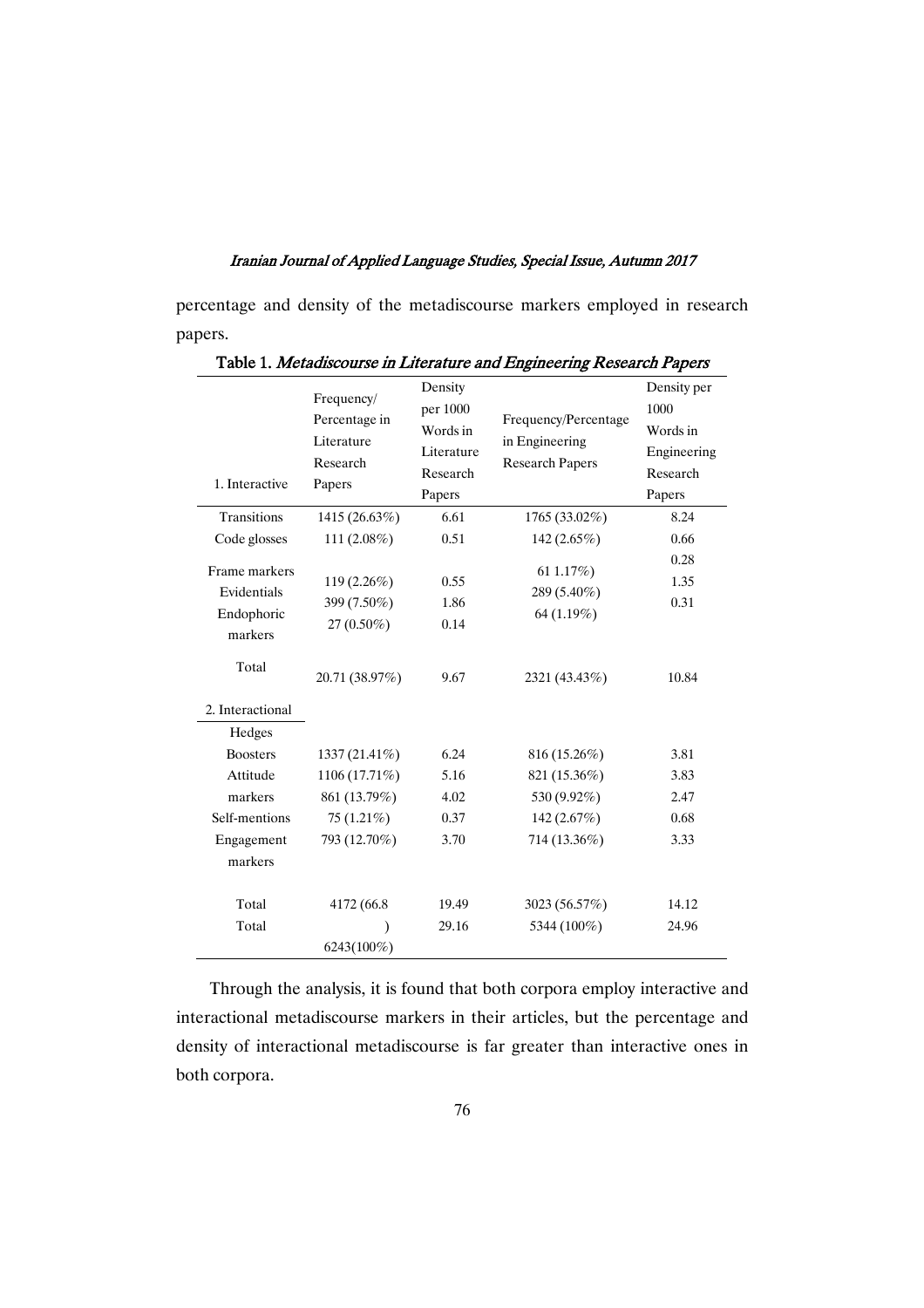percentage and density of the metadiscourse markers employed in research papers.

| 1. Interactive                                        | Frequency/<br>Percentage in<br>Literature<br>Research<br>Papers | Density<br>per 1000<br>Words in<br>Literature<br>Research<br>Papers | Frequency/Percentage<br>in Engineering<br><b>Research Papers</b> | Density per<br>1000<br>Words in<br>Engineering<br>Research<br>Papers |
|-------------------------------------------------------|-----------------------------------------------------------------|---------------------------------------------------------------------|------------------------------------------------------------------|----------------------------------------------------------------------|
| <b>Transitions</b>                                    | 1415 (26.63%)                                                   | 6.61                                                                | 1765 (33.02%)                                                    | 8.24                                                                 |
| Code glosses                                          | 111 (2.08%)                                                     | 0.51                                                                | 142 (2.65%)                                                      | 0.66                                                                 |
| Frame markers<br>Evidentials<br>Endophoric<br>markers | 119 (2.26%)<br>399 (7.50%)<br>27 (0.50%)                        | 0.55<br>1.86<br>0.14                                                | 61 1.17%)<br>289 (5.40%)<br>64 (1.19%)                           | 0.28<br>1.35<br>0.31                                                 |
| Total                                                 | 20.71 (38.97%)                                                  | 9.67                                                                | 2321 (43.43%)                                                    | 10.84                                                                |
| 2. Interactional                                      |                                                                 |                                                                     |                                                                  |                                                                      |
| Hedges                                                |                                                                 |                                                                     |                                                                  |                                                                      |
| <b>Boosters</b>                                       | 1337 (21.41%)                                                   | 6.24                                                                | 816 (15.26%)                                                     | 3.81                                                                 |
| Attitude                                              | 1106 (17.71%)                                                   | 5.16                                                                | 821 (15.36%)                                                     | 3.83                                                                 |
| markers                                               | 861 (13.79%)                                                    | 4.02                                                                | 530 (9.92%)                                                      | 2.47                                                                 |
| Self-mentions                                         | 75 $(1.21\%)$                                                   | 0.37                                                                | 142 $(2.67%)$                                                    | 0.68                                                                 |
| Engagement                                            | 793 (12.70%)                                                    | 3.70                                                                | 714 (13.36%)                                                     | 3.33                                                                 |
| markers                                               |                                                                 |                                                                     |                                                                  |                                                                      |
| Total                                                 | 4172 (66.8)                                                     | 19.49                                                               | 3023 (56.57%)                                                    | 14.12                                                                |
| Total                                                 | ∖                                                               | 29.16                                                               | 5344 (100%)                                                      | 24.96                                                                |
|                                                       | 6243(100%)                                                      |                                                                     |                                                                  |                                                                      |

Table 1. Metadiscourse in Literature and Engineering Research Papers

Through the analysis, it is found that both corpora employ interactive and interactional metadiscourse markers in their articles, but the percentage and density of interactional metadiscourse is far greater than interactive ones in both corpora.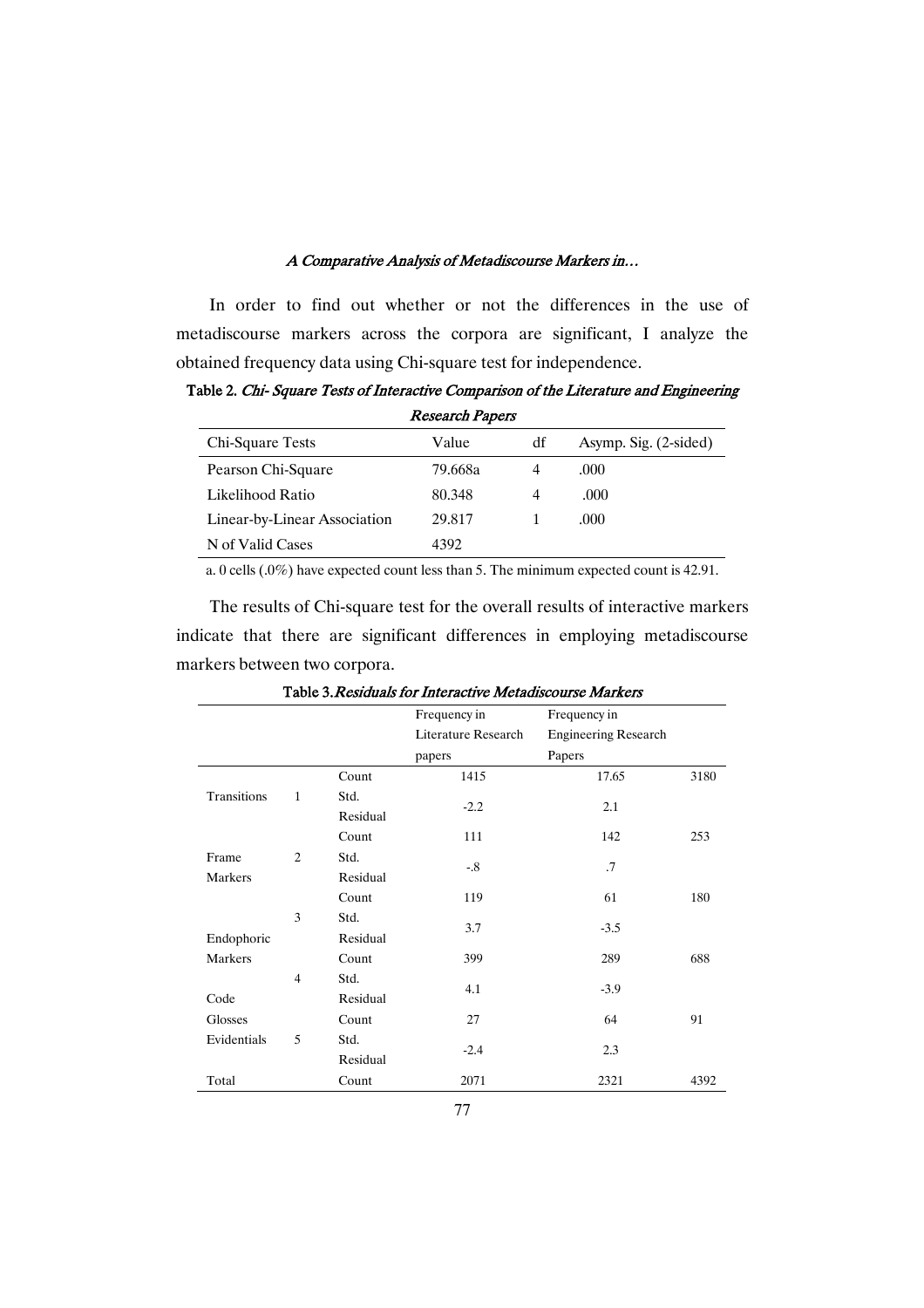In order to find out whether or not the differences in the use of metadiscourse markers across the corpora are significant, I analyze the obtained frequency data using Chi-square test for independence.

Table 2. Chi-Square Tests of Interactive Comparison of the Literature and Engineering **Research Papers** 

| Chi-Square Tests             | Value   | df | Asymp. Sig. (2-sided) |  |  |
|------------------------------|---------|----|-----------------------|--|--|
| Pearson Chi-Square           | 79.668a | 4  | .000                  |  |  |
| Likelihood Ratio             | 80.348  | 4  | .000                  |  |  |
| Linear-by-Linear Association | 29.817  |    | .000                  |  |  |
| N of Valid Cases             | 4392    |    |                       |  |  |

a. 0 cells (.0%) have expected count less than 5. The minimum expected count is 42.91.

The results of Chi-square test for the overall results of interactive markers indicate that there are significant differences in employing metadiscourse markers between two corpora.

|             |                |          | Frequency in        | Frequency in                |      |
|-------------|----------------|----------|---------------------|-----------------------------|------|
|             |                |          | Literature Research | <b>Engineering Research</b> |      |
|             |                |          | papers              | Papers                      |      |
|             |                | Count    | 1415                | 17.65                       | 3180 |
| Transitions | 1              | Std.     |                     |                             |      |
|             |                | Residual | $-2.2$              | 2.1                         |      |
|             |                | Count    | 111                 | 142                         | 253  |
| Frame       | $\overline{c}$ | Std.     | $-.8$               | $\cdot$ .7                  |      |
| Markers     |                | Residual |                     |                             |      |
|             |                | Count    | 119                 | 61                          | 180  |
|             | 3              | Std.     |                     |                             |      |
| Endophoric  |                | Residual | 3.7                 | $-3.5$                      |      |
| Markers     |                | Count    | 399                 | 289                         | 688  |
|             | $\overline{4}$ | Std.     |                     |                             |      |
| Code        |                | Residual | 4.1                 | $-3.9$                      |      |
| Glosses     |                | Count    | 27                  | 64                          | 91   |
| Evidentials | 5              | Std.     |                     |                             |      |
|             |                | Residual | $-2.4$              | 2.3                         |      |
| Total       |                | Count    | 2071                | 2321                        | 4392 |

Table 3. Residuals for Interactive Metadiscourse Markers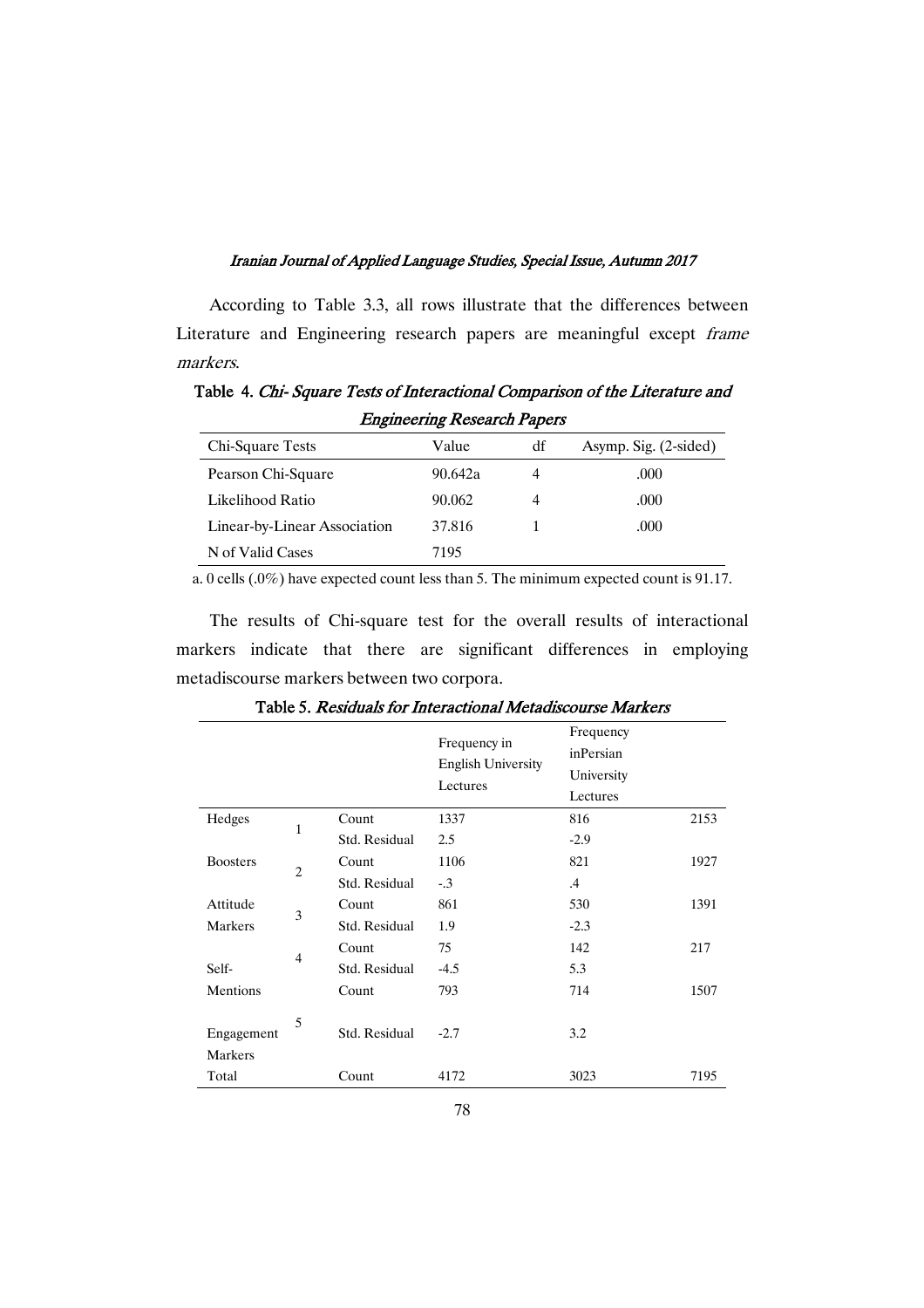According to Table 3.3, all rows illustrate that the differences between Literature and Engineering research papers are meaningful except frame markers.

Table 4. Chi-Square Tests of Interactional Comparison of the Literature and **Engineering Research Papers** 

| Chi-Square Tests             | Value   | df | Asymp. Sig. (2-sided) |
|------------------------------|---------|----|-----------------------|
| Pearson Chi-Square           | 90.642a | 4  | .000                  |
| Likelihood Ratio             | 90.062  | 4  | .000                  |
| Linear-by-Linear Association | 37.816  |    | .000                  |
| N of Valid Cases             | 7195    |    |                       |

a. 0 cells (.0%) have expected count less than 5. The minimum expected count is 91.17.

The results of Chi-square test for the overall results of interactional markers indicate that there are significant differences in employing metadiscourse markers between two corpora.

|                       |                |               | Frequency in<br><b>English University</b><br>Lectures | Frequency<br>inPersian<br>University<br>Lectures |      |
|-----------------------|----------------|---------------|-------------------------------------------------------|--------------------------------------------------|------|
| Hedges                | 1              | Count         | 1337                                                  | 816                                              | 2153 |
|                       |                | Std. Residual | 2.5                                                   | $-2.9$                                           |      |
| <b>Boosters</b>       | $\overline{2}$ | Count         | 1106                                                  | 821                                              | 1927 |
|                       |                | Std. Residual | $-.3$                                                 | $.4\,$                                           |      |
| Attitude              | 3              | Count         | 861                                                   | 530                                              | 1391 |
| Markers               |                | Std. Residual | 1.9                                                   | $-2.3$                                           |      |
|                       | $\overline{4}$ | Count         | 75                                                    | 142                                              | 217  |
| Self-                 |                | Std. Residual | $-4.5$                                                | 5.3                                              |      |
| Mentions              |                | Count         | 793                                                   | 714                                              | 1507 |
| Engagement<br>Markers | 5              | Std. Residual | $-2.7$                                                | 3.2                                              |      |
| Total                 |                | Count         | 4172                                                  | 3023                                             | 7195 |

Table 5. Residuals for Interactional Metadiscourse Markers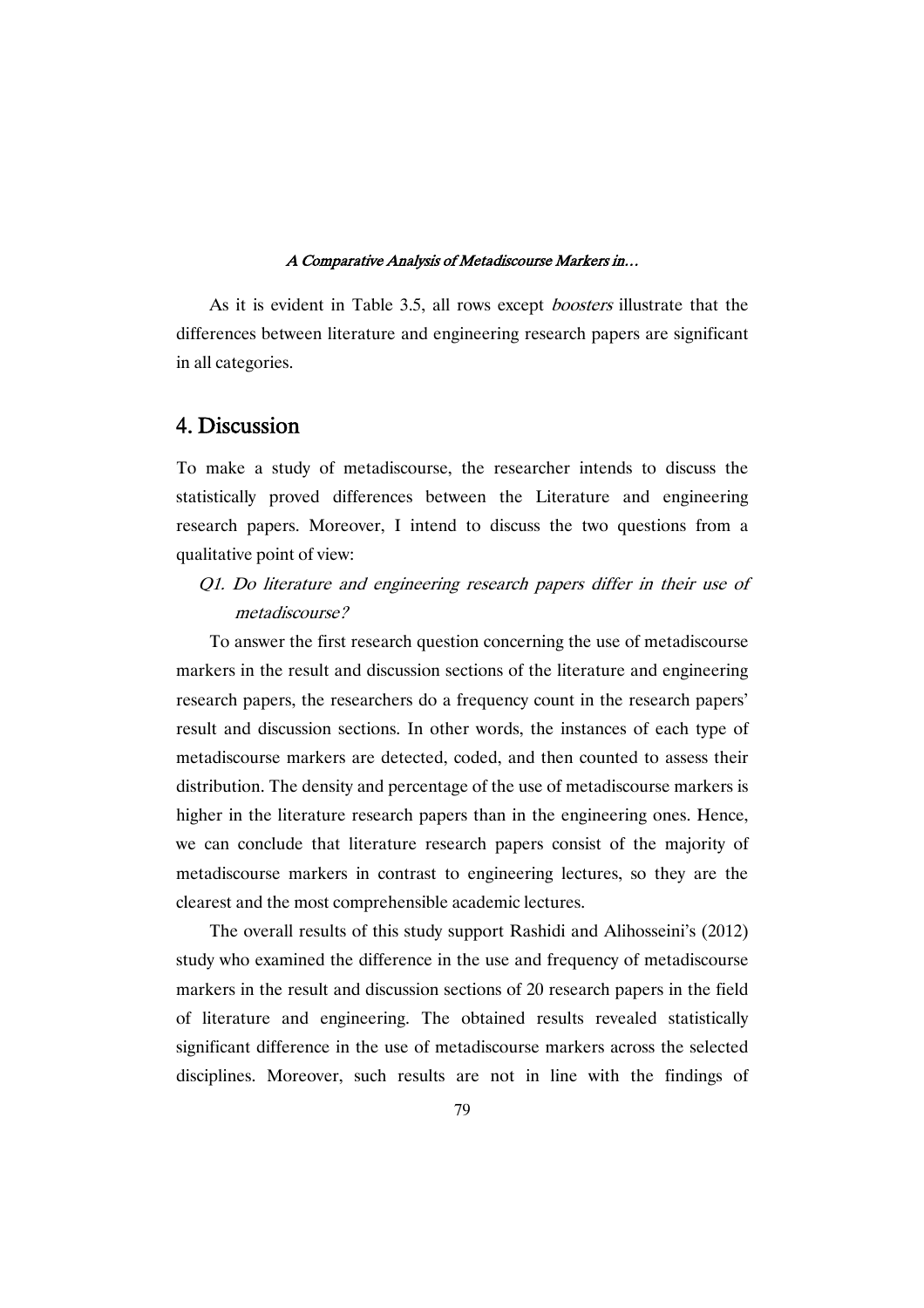As it is evident in Table 3.5, all rows except *boosters* illustrate that the differences between literature and engineering research papers are significant in all categories.

## 4.Discussion

To make a study of metadiscourse, the researcher intends to discuss the statistically proved differences between the Literature and engineering research papers. Moreover, I intend to discuss the two questions from a qualitative point of view:

Q1. Do literature and engineering research papers differ in their use of metadiscourse?

To answer the first research question concerning the use of metadiscourse markers in the result and discussion sections of the literature and engineering research papers, the researchers do a frequency count in the research papers' result and discussion sections. In other words, the instances of each type of metadiscourse markers are detected, coded, and then counted to assess their distribution. The density and percentage of the use of metadiscourse markers is higher in the literature research papers than in the engineering ones. Hence, we can conclude that literature research papers consist of the majority of metadiscourse markers in contrast to engineering lectures, so they are the clearest and the most comprehensible academic lectures.

The overall results of this study support Rashidi and Alihosseini's (2012) study who examined the difference in the use and frequency of metadiscourse markers in the result and discussion sections of 20 research papers in the field of literature and engineering. The obtained results revealed statistically significant difference in the use of metadiscourse markers across the selected disciplines. Moreover, such results are not in line with the findings of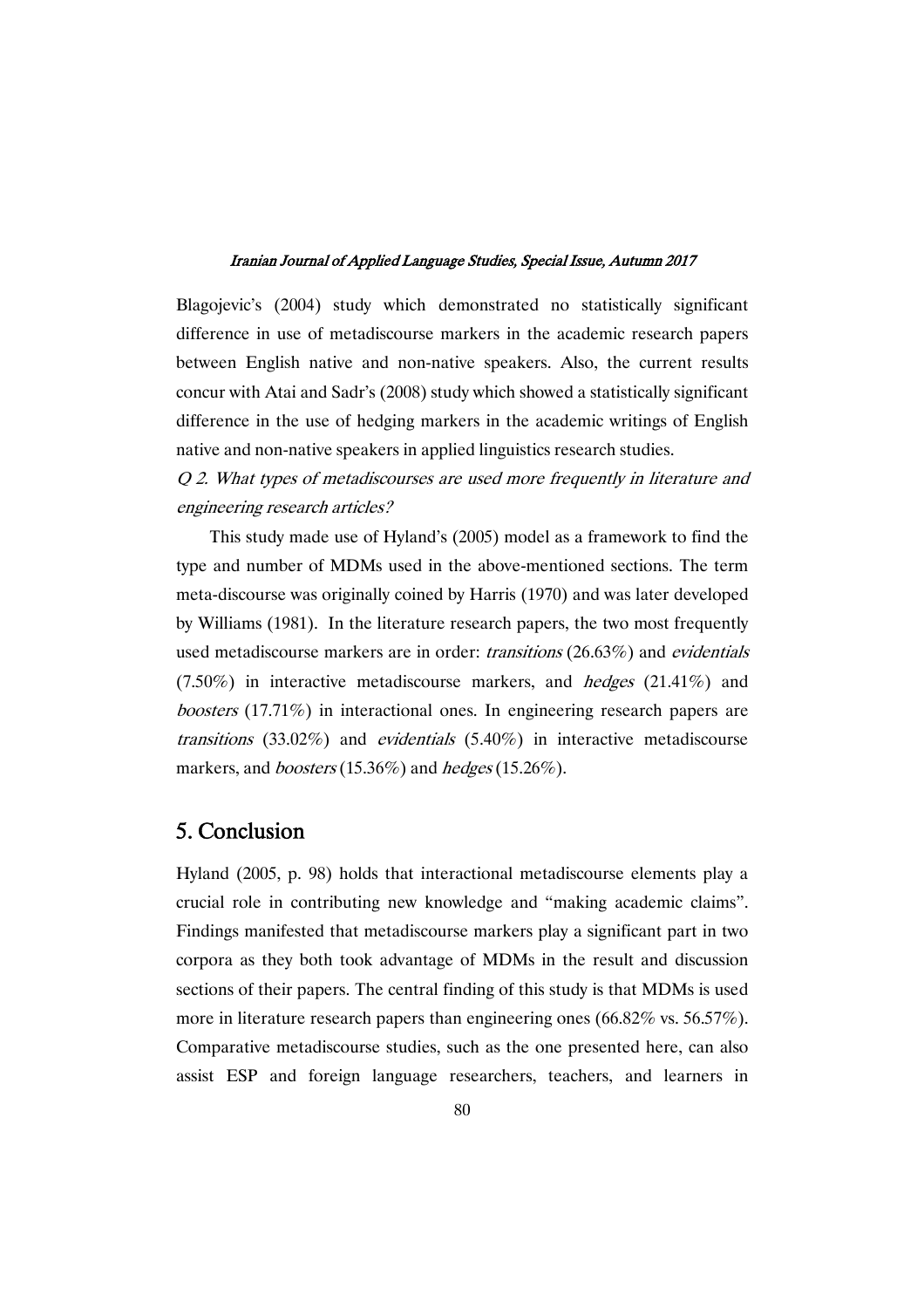Blagojevic's (2004) study which demonstrated no statistically significant difference in use of metadiscourse markers in the academic research papers between English native and non-native speakers. Also, the current results concur with Atai and Sadr's (2008) study which showed a statistically significant difference in the use of hedging markers in the academic writings of English native and non-native speakers in applied linguistics research studies.

Q 2. What types of metadiscourses are used more frequently in literature and engineering research articles?

This study made use of Hyland's (2005) model as a framework to find the type and number of MDMs used in the above-mentioned sections. The term meta-discourse was originally coined by Harris (1970) and was later developed by Williams (1981). In the literature research papers, the two most frequently used metadiscourse markers are in order: transitions (26.63%) and evidentials  $(7.50\%)$  in interactive metadiscourse markers, and *hedges*  $(21.41\%)$  and boosters (17.71%) in interactional ones. In engineering research papers are transitions (33.02%) and evidentials (5.40%) in interactive metadiscourse markers, and *boosters* (15.36%) and *hedges* (15.26%).

## 5.Conclusion

Hyland (2005, p. 98) holds that interactional metadiscourse elements play a crucial role in contributing new knowledge and "making academic claims". Findings manifested that metadiscourse markers play a significant part in two corpora as they both took advantage of MDMs in the result and discussion sections of their papers. The central finding of this study is that MDMs is used more in literature research papers than engineering ones (66.82% vs. 56.57%). Comparative metadiscourse studies, such as the one presented here, can also assist ESP and foreign language researchers, teachers, and learners in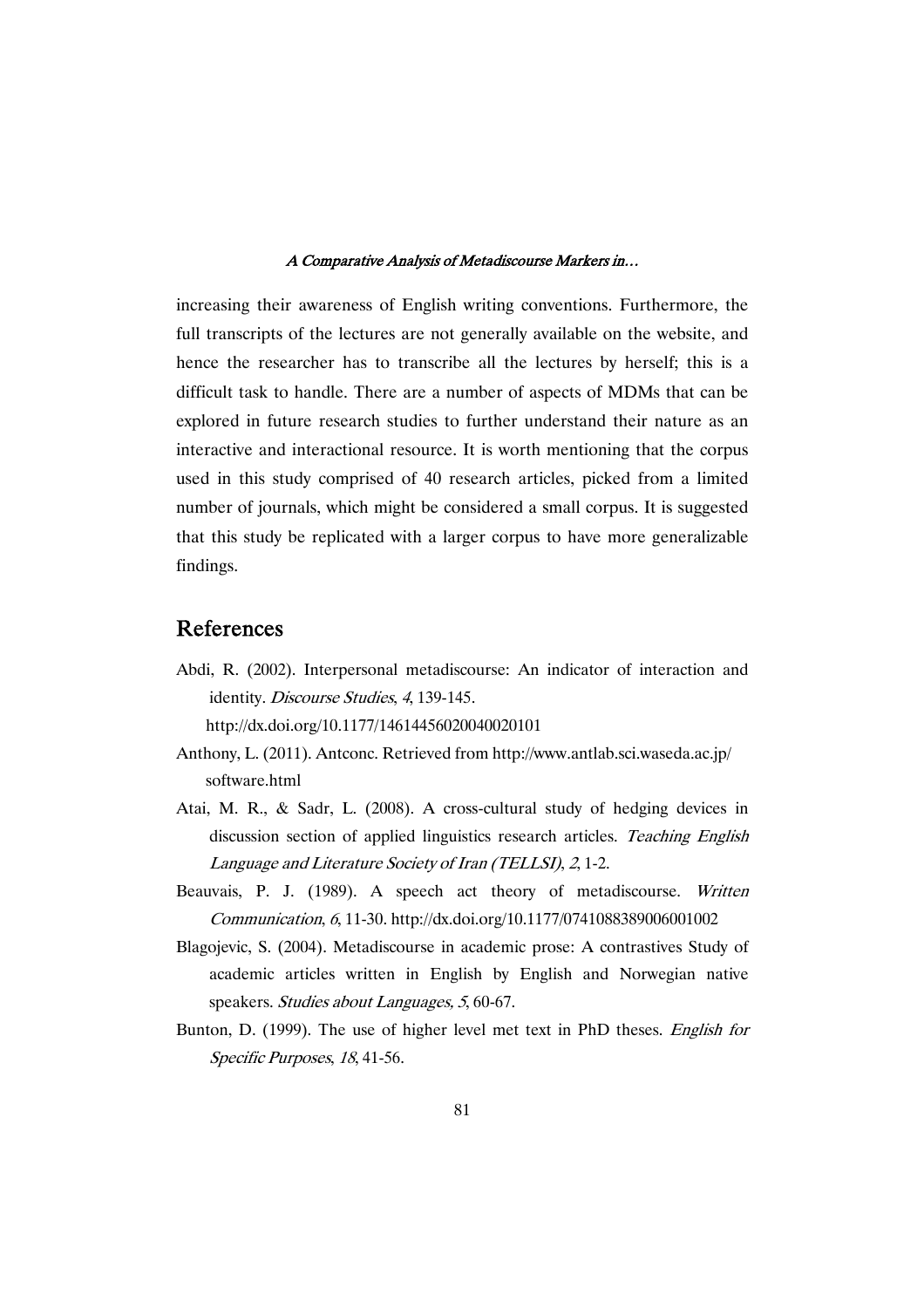increasing their awareness of English writing conventions. Furthermore, the full transcripts of the lectures are not generally available on the website, and hence the researcher has to transcribe all the lectures by herself; this is a difficult task to handle. There are a number of aspects of MDMs that can be explored in future research studies to further understand their nature as an interactive and interactional resource. It is worth mentioning that the corpus used in this study comprised of 40 research articles, picked from a limited number of journals, which might be considered a small corpus. It is suggested that this study be replicated with a larger corpus to have more generalizable findings.

## References

Abdi, R. (2002). Interpersonal metadiscourse: An indicator of interaction and identity. Discourse Studies, <sup>4</sup>, 139-145.

http://dx.doi.org/10.1177/14614456020040020101

- Anthony, L. (2011). Antconc. Retrieved from http://www.antlab.sci.waseda.ac.jp/ software.html
- Atai, M. R., & Sadr, L. (2008). A cross-cultural study of hedging devices in discussion section of applied linguistics research articles. Teaching English Language and Literature Society of Iran (TELLSI), <sup>2</sup>, 1-2.
- Beauvais, P. J. (1989). A speech act theory of metadiscourse. Written Communication, <sup>6</sup>, 11-30. http://dx.doi.org/10.1177/0741088389006001002
- Blagojevic, S. (2004). Metadiscourse in academic prose: A contrastives Study of academic articles written in English by English and Norwegian native speakers. Studies about Languages, <sup>5</sup>, 60-67.
- Bunton, D. (1999). The use of higher level met text in PhD theses. English for Specific Purposes, <sup>18</sup>, 41-56.